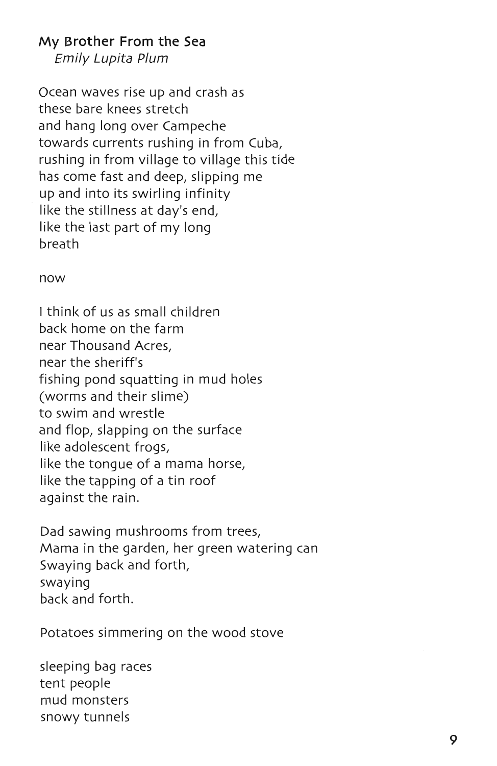## My Brother From the Sea

Emily Lupita Plum

Ocean waves rise up and crash as these bare knees stretch and hang long over Campeche towards currents rushing in from Cuba, rushing in from village to village this tide has come fast and deep, slipping me up and into its swirling infinity like the stillness at day's end, like the last part of my long breath

## now

I think of us as small children back home on the farm near Thousand Acres, near the sheriff's fishing pond squatting in mud holes (worms and their slime) to swim and wrestle and flop, slapping on the surface like adolescent frogs, like the tongue of a mama horse, like the tapping of a tin roof against the rain.

Dad sawing mushrooms from trees, Mama in the garden, her green watering can Swaying back and forth, swaying back and forth.

Potatoes simmering on the wood stove

sleeping bag races tent people mud monsters snowy tunnels